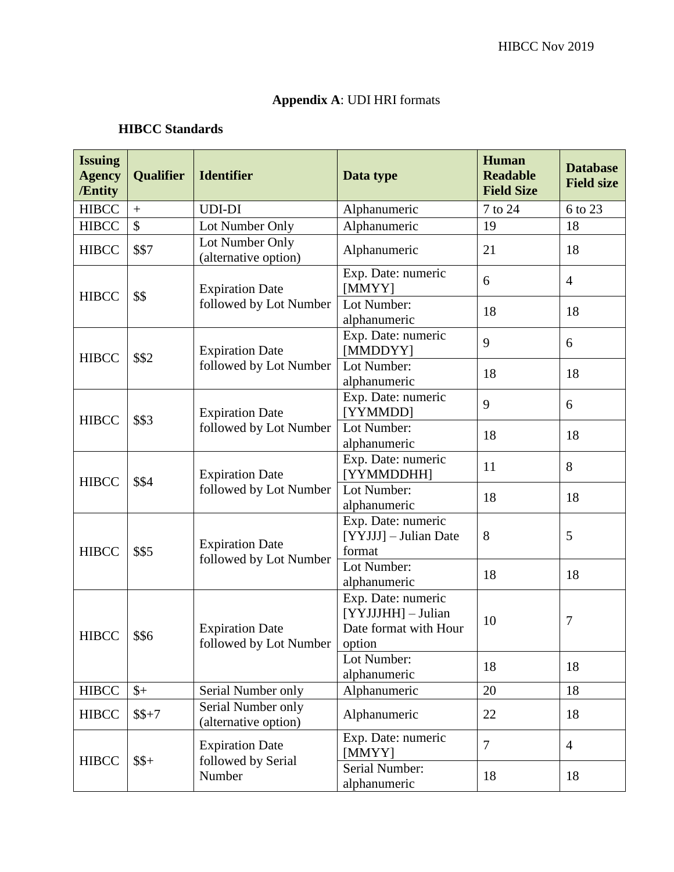## **Appendix A**: UDI HRI formats

#### **HIBCC Standards**

| <b>Issuing</b><br><b>Agency</b><br>/Entity | <b>Qualifier</b> | <b>Identifier</b>                                         | Data type                                                         | <b>Human</b><br><b>Readable</b><br><b>Field Size</b> | <b>Database</b><br><b>Field size</b> |
|--------------------------------------------|------------------|-----------------------------------------------------------|-------------------------------------------------------------------|------------------------------------------------------|--------------------------------------|
| <b>HIBCC</b>                               | $\boldsymbol{+}$ | <b>UDI-DI</b>                                             | Alphanumeric                                                      | 7 to 24                                              | 6 to 23                              |
| <b>HIBCC</b>                               | \$               | Lot Number Only                                           | Alphanumeric                                                      | 19                                                   | 18                                   |
| <b>HIBCC</b>                               | \$\$7            | Lot Number Only<br>(alternative option)                   | Alphanumeric                                                      | 21                                                   | 18                                   |
| <b>HIBCC</b>                               | \$\$             | <b>Expiration Date</b><br>followed by Lot Number          | Exp. Date: numeric<br>[MMYY]                                      | 6                                                    | $\overline{4}$                       |
|                                            |                  |                                                           | Lot Number:<br>alphanumeric                                       | 18                                                   | 18                                   |
| <b>HIBCC</b>                               | \$\$2            | <b>Expiration Date</b><br>followed by Lot Number          | Exp. Date: numeric<br>[MMDDYY]                                    | 9                                                    | 6                                    |
|                                            |                  |                                                           | Lot Number:<br>alphanumeric                                       | 18                                                   | 18                                   |
| <b>HIBCC</b>                               | \$\$3            | <b>Expiration Date</b><br>followed by Lot Number          | Exp. Date: numeric<br>[YYMMDD]                                    | 9                                                    | 6                                    |
|                                            |                  |                                                           | Lot Number:<br>alphanumeric                                       | 18                                                   | 18                                   |
| <b>HIBCC</b>                               | \$\$4            | <b>Expiration Date</b><br>followed by Lot Number          | Exp. Date: numeric<br>[YYMMDDHH]                                  | 11                                                   | 8                                    |
|                                            |                  |                                                           | Lot Number:<br>alphanumeric                                       | 18                                                   | 18                                   |
| <b>HIBCC</b>                               | \$\$5            | <b>Expiration Date</b><br>followed by Lot Number          | Exp. Date: numeric<br>[YYJJJ] - Julian Date<br>format             | 8                                                    | 5                                    |
|                                            |                  |                                                           | Lot Number:<br>alphanumeric                                       | 18                                                   | 18                                   |
| <b>HIBCC</b>                               | \$\$6            | <b>Expiration Date</b><br>followed by Lot Number   option | Exp. Date: numeric<br>[YYJJJHH] - Julian<br>Date format with Hour | 10                                                   | 7                                    |
|                                            |                  |                                                           | Lot Number:<br>alphanumeric                                       | 18                                                   | 18                                   |
| <b>HIBCC</b>                               | $\frac{1}{2}$    | Serial Number only                                        | Alphanumeric                                                      | 20                                                   | 18                                   |
| <b>HIBCC</b>                               | $$+7$            | Serial Number only<br>(alternative option)                | Alphanumeric                                                      | 22                                                   | 18                                   |
| <b>HIBCC</b>                               | $$+$             | <b>Expiration Date</b><br>followed by Serial<br>Number    | Exp. Date: numeric<br>[MMYY]                                      | 7                                                    | $\overline{4}$                       |
|                                            |                  |                                                           | Serial Number:<br>alphanumeric                                    | 18                                                   | 18                                   |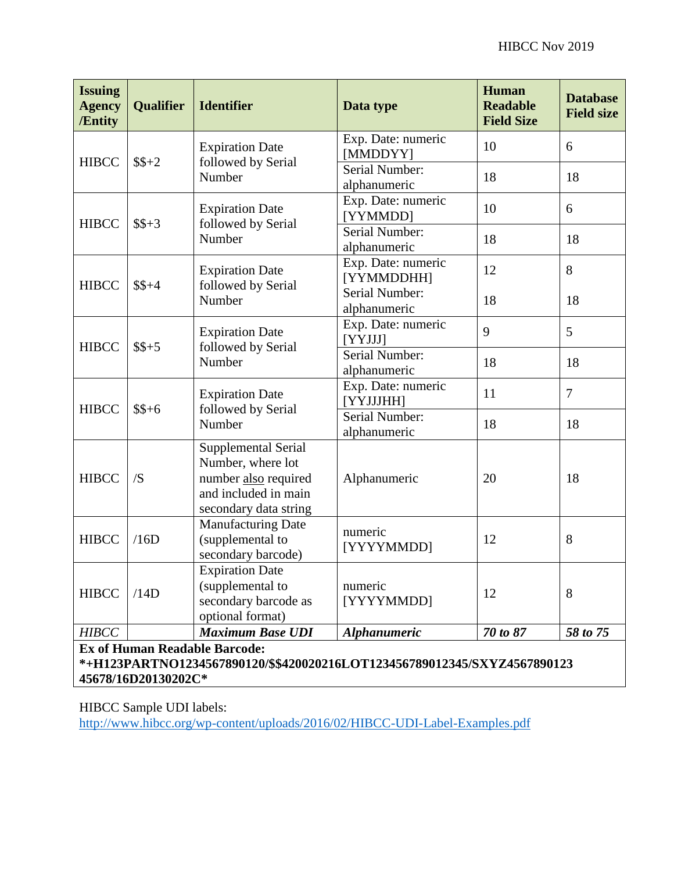| <b>Issuing</b><br><b>Agency</b><br><b>/Entity</b>                                                                                       | <b>Qualifier</b> | <b>Identifier</b>                                                                                                 | Data type                        | <b>Human</b><br><b>Readable</b><br><b>Field Size</b> | <b>Database</b><br><b>Field size</b> |  |  |  |
|-----------------------------------------------------------------------------------------------------------------------------------------|------------------|-------------------------------------------------------------------------------------------------------------------|----------------------------------|------------------------------------------------------|--------------------------------------|--|--|--|
| <b>HIBCC</b>                                                                                                                            | $$+2$            | <b>Expiration Date</b><br>followed by Serial<br>Number                                                            | Exp. Date: numeric<br>[MMDDYY]   | 10                                                   | 6                                    |  |  |  |
|                                                                                                                                         |                  |                                                                                                                   | Serial Number:<br>alphanumeric   | 18                                                   | 18                                   |  |  |  |
| <b>HIBCC</b>                                                                                                                            | $$S+3$           | <b>Expiration Date</b><br>followed by Serial<br>Number                                                            | Exp. Date: numeric<br>[YYMMDD]   | 10                                                   | 6                                    |  |  |  |
|                                                                                                                                         |                  |                                                                                                                   | Serial Number:<br>alphanumeric   | 18                                                   | 18                                   |  |  |  |
| <b>HIBCC</b>                                                                                                                            | $$S+4$           | <b>Expiration Date</b><br>followed by Serial<br>Number                                                            | Exp. Date: numeric<br>[YYMMDDHH] | 12                                                   | 8                                    |  |  |  |
|                                                                                                                                         |                  |                                                                                                                   | Serial Number:<br>alphanumeric   | 18                                                   | 18                                   |  |  |  |
| <b>HIBCC</b>                                                                                                                            | $$S+5$           | <b>Expiration Date</b><br>followed by Serial<br>Number                                                            | Exp. Date: numeric<br>[YYJJJ]    | 9                                                    | 5                                    |  |  |  |
|                                                                                                                                         |                  |                                                                                                                   | Serial Number:<br>alphanumeric   | 18                                                   | 18                                   |  |  |  |
| <b>HIBCC</b>                                                                                                                            | $$+6$            | <b>Expiration Date</b><br>followed by Serial<br>Number                                                            | Exp. Date: numeric<br>[YYJJJHH]  | 11                                                   | $\overline{7}$                       |  |  |  |
|                                                                                                                                         |                  |                                                                                                                   | Serial Number:<br>alphanumeric   | 18                                                   | 18                                   |  |  |  |
| <b>HIBCC</b>                                                                                                                            | /S               | Supplemental Serial<br>Number, where lot<br>number also required<br>and included in main<br>secondary data string | Alphanumeric                     | 20                                                   | 18                                   |  |  |  |
| <b>HIBCC</b>                                                                                                                            | /16D             | <b>Manufacturing Date</b><br>(supplemental to<br>secondary barcode)                                               | numeric<br>[YYYYMMDD]            | 12                                                   | 8                                    |  |  |  |
| <b>HIBCC</b>                                                                                                                            | /14D             | <b>Expiration Date</b><br>(supplemental to<br>secondary barcode as<br>optional format)                            | numeric<br>[YYYYMMDD]            | 12                                                   | 8                                    |  |  |  |
| <b>HIBCC</b>                                                                                                                            |                  | <b>Maximum Base UDI</b>                                                                                           | <b>Alphanumeric</b>              | 70 to 87                                             | 58 to 75                             |  |  |  |
| <b>Ex of Human Readable Barcode:</b><br>*+H123PARTNO1234567890120/\$\$420020216LOT123456789012345/SXYZ4567890123<br>45678/16D20130202C* |                  |                                                                                                                   |                                  |                                                      |                                      |  |  |  |

HIBCC Sample UDI labels:

<http://www.hibcc.org/wp-content/uploads/2016/02/HIBCC-UDI-Label-Examples.pdf>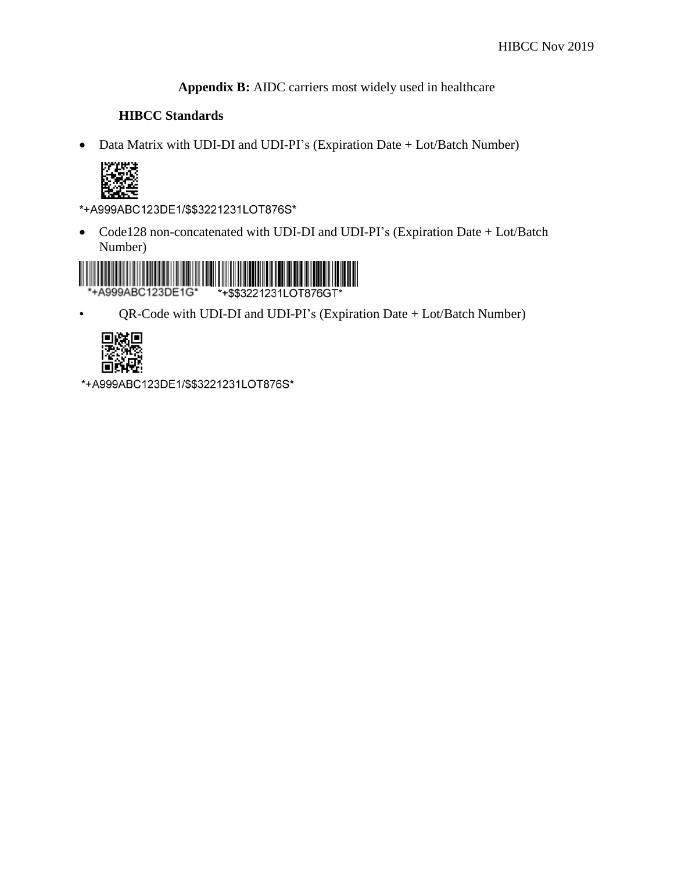**Appendix B:** AIDC carriers most widely used in healthcare

#### **HIBCC Standards**

• Data Matrix with UDI-DI and UDI-PI's (Expiration Date + Lot/Batch Number)



\*+A999ABC123DE1/\$\$3221231LOT876S\*

• Code128 non-concatenated with UDI-DI and UDI-PI's (Expiration Date + Lot/Batch Number)



• QR-Code with UDI-DI and UDI-PI's (Expiration Date + Lot/Batch Number)



\*+A999ABC123DE1/\$\$3221231LOT876S\*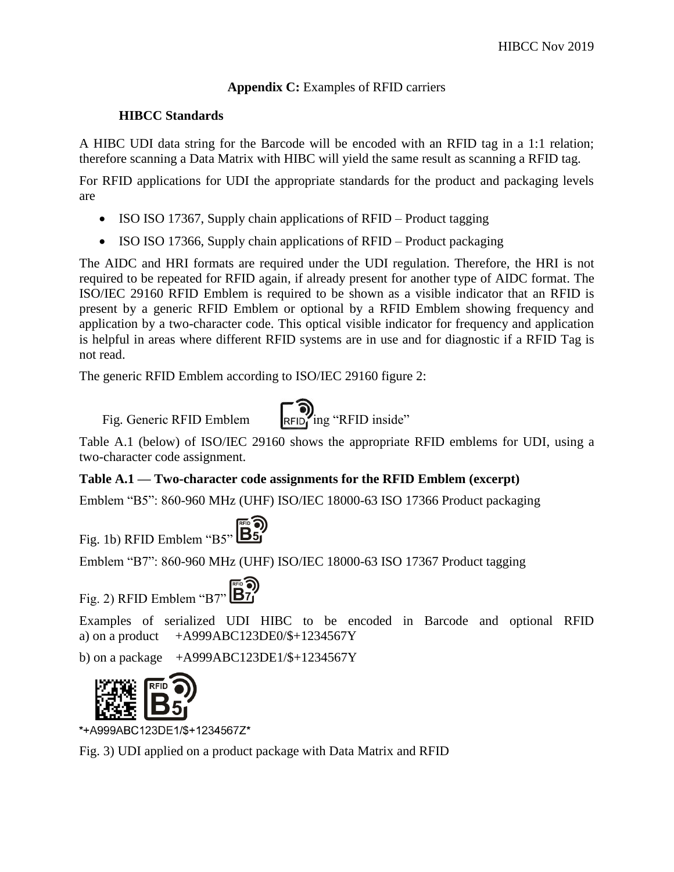#### **Appendix C:** Examples of RFID carriers

#### **HIBCC Standards**

A HIBC UDI data string for the Barcode will be encoded with an RFID tag in a 1:1 relation; therefore scanning a Data Matrix with HIBC will yield the same result as scanning a RFID tag.

For RFID applications for UDI the appropriate standards for the product and packaging levels are

- ISO ISO 17367, Supply chain applications of RFID Product tagging
- ISO ISO 17366, Supply chain applications of RFID Product packaging

The AIDC and HRI formats are required under the UDI regulation. Therefore, the HRI is not required to be repeated for RFID again, if already present for another type of AIDC format. The ISO/IEC 29160 RFID Emblem is required to be shown as a visible indicator that an RFID is present by a generic RFID Emblem or optional by a RFID Emblem showing frequency and application by a two-character code. This optical visible indicator for frequency and application is helpful in areas where different RFID systems are in use and for diagnostic if a RFID Tag is not read.

The generic RFID Emblem according to ISO/IEC 29160 figure 2:

Fig. Generic RFID Emblem  $\begin{bmatrix} \bullet \\ \mathsf{RFID} \end{bmatrix}$  ing "RFID inside"



Table A.1 (below) of ISO/IEC 29160 shows the appropriate RFID emblems for UDI, using a two-character code assignment.

### **Table A.1 — Two-character code assignments for the RFID Emblem (excerpt)**

Emblem "B5": 860-960 MHz (UHF) ISO/IEC 18000-63 ISO 17366 Product packaging

#### ≖ை Fig. 1b) RFID Emblem "B5" **B5**"

Emblem "B7": 860-960 MHz (UHF) ISO/IEC 18000-63 ISO 17367 Product tagging

# Fig. 2) RFID Emblem "B7"  $\boxed{B7}$

Examples of serialized UDI HIBC to be encoded in Barcode and optional RFID a) on a product  $+A999ABC123DE0/\$+1234567Y$ 

b) on a package  $+A999ABC123DE1/\$+1234567Y$ 



\*+A999ABC123DE1/\$+1234567Z\*

Fig. 3) UDI applied on a product package with Data Matrix and RFID